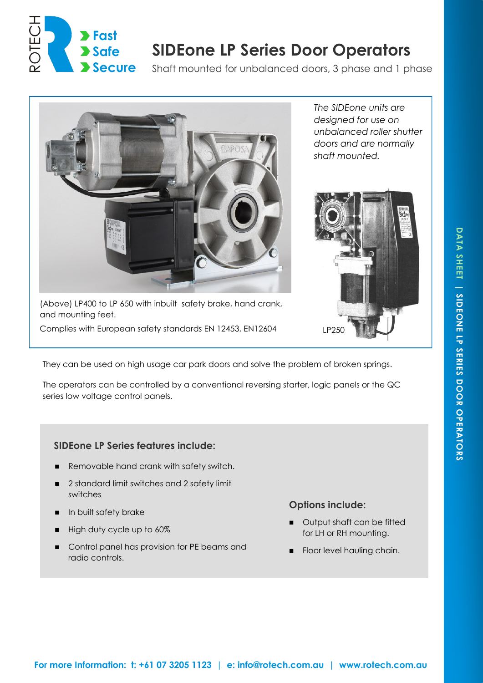

# **SIDEone LP Series Door Operators**

Shaft mounted for unbalanced doors, 3 phase and 1 phase



(Above) LP400 to LP 650 with inbuilt safety brake, hand crank, and mounting feet.

Complies with European safety standards EN 12453, EN12604 LP250

*The SIDEone units are designed for use on unbalanced roller shutter doors and are normally shaft mounted.* 



They can be used on high usage car park doors and solve the problem of broken springs.

The operators can be controlled by a conventional reversing starter, logic panels or the QC series low voltage control panels.

# **SIDEone LP Series features include:**

- Removable hand crank with safety switch.
- 2 standard limit switches and 2 safety limit switches
- **In built safety brake**
- High duty cycle up to 60%
- **Control panel has provision for PE beams and** radio controls.

## **Options include:**

- **Output shaft can be fitted** for LH or RH mounting.
- Floor level hauling chain.